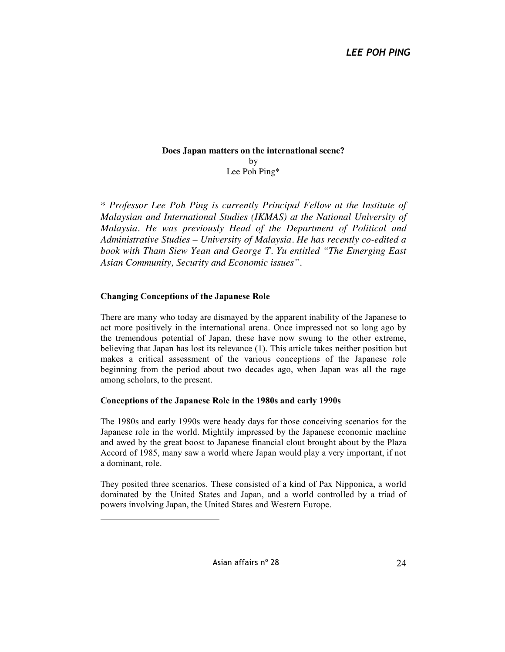## **Does Japan matters on the international scene?** by Lee Poh Ping\*

*\* Professor Lee Poh Ping is currently Principal Fellow at the Institute of Malaysian and International Studies (IKMAS) at the National University of Malaysia. He was previously Head of the Department of Political and Administrative Studies – University of Malaysia. He has recently co-edited a book with Tham Siew Yean and George T. Yu entitled "The Emerging East Asian Community, Security and Economic issues".*

## **Changing Conceptions of the Japanese Role**

 $\overline{a}$ 

There are many who today are dismayed by the apparent inability of the Japanese to act more positively in the international arena. Once impressed not so long ago by the tremendous potential of Japan, these have now swung to the other extreme, believing that Japan has lost its relevance (1). This article takes neither position but makes a critical assessment of the various conceptions of the Japanese role beginning from the period about two decades ago, when Japan was all the rage among scholars, to the present.

## **Conceptions of the Japanese Role in the 1980s and early 1990s**

The 1980s and early 1990s were heady days for those conceiving scenarios for the Japanese role in the world. Mightily impressed by the Japanese economic machine and awed by the great boost to Japanese financial clout brought about by the Plaza Accord of 1985, many saw a world where Japan would play a very important, if not a dominant, role.

They posited three scenarios. These consisted of a kind of Pax Nipponica, a world dominated by the United States and Japan, and a world controlled by a triad of powers involving Japan, the United States and Western Europe.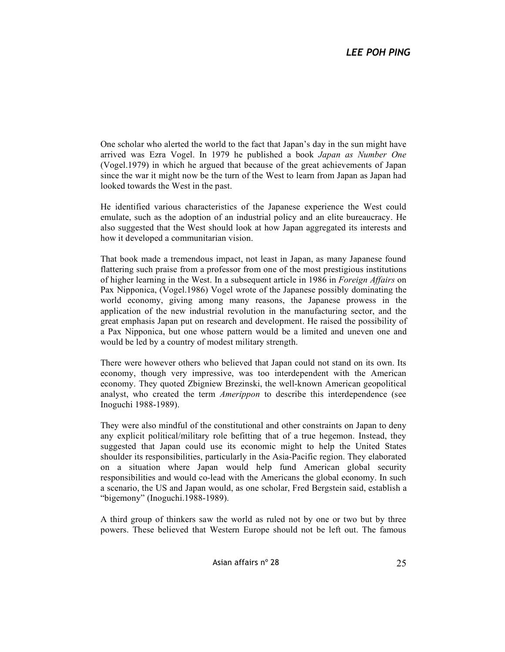One scholar who alerted the world to the fact that Japan's day in the sun might have arrived was Ezra Vogel. In 1979 he published a book *Japan as Number One* (Vogel.1979) in which he argued that because of the great achievements of Japan since the war it might now be the turn of the West to learn from Japan as Japan had looked towards the West in the past.

He identified various characteristics of the Japanese experience the West could emulate, such as the adoption of an industrial policy and an elite bureaucracy. He also suggested that the West should look at how Japan aggregated its interests and how it developed a communitarian vision.

That book made a tremendous impact, not least in Japan, as many Japanese found flattering such praise from a professor from one of the most prestigious institutions of higher learning in the West. In a subsequent article in 1986 in *Foreign Affairs* on Pax Nipponica, (Vogel.1986) Vogel wrote of the Japanese possibly dominating the world economy, giving among many reasons, the Japanese prowess in the application of the new industrial revolution in the manufacturing sector, and the great emphasis Japan put on research and development. He raised the possibility of a Pax Nipponica, but one whose pattern would be a limited and uneven one and would be led by a country of modest military strength.

There were however others who believed that Japan could not stand on its own. Its economy, though very impressive, was too interdependent with the American economy. They quoted Zbigniew Brezinski, the well-known American geopolitical analyst, who created the term *Amerippon* to describe this interdependence (see Inoguchi 1988-1989).

They were also mindful of the constitutional and other constraints on Japan to deny any explicit political/military role befitting that of a true hegemon. Instead, they suggested that Japan could use its economic might to help the United States shoulder its responsibilities, particularly in the Asia-Pacific region. They elaborated on a situation where Japan would help fund American global security responsibilities and would co-lead with the Americans the global economy. In such a scenario, the US and Japan would, as one scholar, Fred Bergstein said, establish a "bigemony" (Inoguchi.1988-1989).

A third group of thinkers saw the world as ruled not by one or two but by three powers. These believed that Western Europe should not be left out. The famous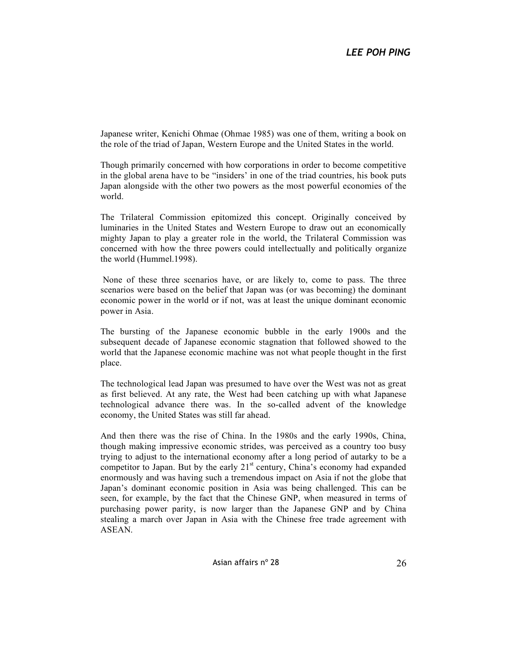Japanese writer, Kenichi Ohmae (Ohmae 1985) was one of them, writing a book on the role of the triad of Japan, Western Europe and the United States in the world.

Though primarily concerned with how corporations in order to become competitive in the global arena have to be "insiders' in one of the triad countries, his book puts Japan alongside with the other two powers as the most powerful economies of the world.

The Trilateral Commission epitomized this concept. Originally conceived by luminaries in the United States and Western Europe to draw out an economically mighty Japan to play a greater role in the world, the Trilateral Commission was concerned with how the three powers could intellectually and politically organize the world (Hummel.1998).

 None of these three scenarios have, or are likely to, come to pass. The three scenarios were based on the belief that Japan was (or was becoming) the dominant economic power in the world or if not, was at least the unique dominant economic power in Asia.

The bursting of the Japanese economic bubble in the early 1900s and the subsequent decade of Japanese economic stagnation that followed showed to the world that the Japanese economic machine was not what people thought in the first place.

The technological lead Japan was presumed to have over the West was not as great as first believed. At any rate, the West had been catching up with what Japanese technological advance there was. In the so-called advent of the knowledge economy, the United States was still far ahead.

And then there was the rise of China. In the 1980s and the early 1990s, China, though making impressive economic strides, was perceived as a country too busy trying to adjust to the international economy after a long period of autarky to be a competitor to Japan. But by the early  $21<sup>st</sup>$  century, China's economy had expanded enormously and was having such a tremendous impact on Asia if not the globe that Japan's dominant economic position in Asia was being challenged. This can be seen, for example, by the fact that the Chinese GNP, when measured in terms of purchasing power parity, is now larger than the Japanese GNP and by China stealing a march over Japan in Asia with the Chinese free trade agreement with ASEAN.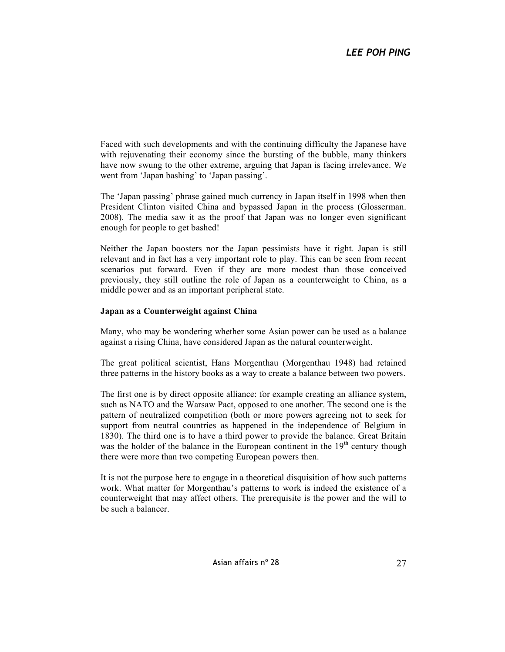Faced with such developments and with the continuing difficulty the Japanese have with rejuvenating their economy since the bursting of the bubble, many thinkers have now swung to the other extreme, arguing that Japan is facing irrelevance. We went from 'Japan bashing' to 'Japan passing'.

The 'Japan passing' phrase gained much currency in Japan itself in 1998 when then President Clinton visited China and bypassed Japan in the process (Glosserman. 2008). The media saw it as the proof that Japan was no longer even significant enough for people to get bashed!

Neither the Japan boosters nor the Japan pessimists have it right. Japan is still relevant and in fact has a very important role to play. This can be seen from recent scenarios put forward. Even if they are more modest than those conceived previously, they still outline the role of Japan as a counterweight to China, as a middle power and as an important peripheral state.

## **Japan as a Counterweight against China**

Many, who may be wondering whether some Asian power can be used as a balance against a rising China, have considered Japan as the natural counterweight.

The great political scientist, Hans Morgenthau (Morgenthau 1948) had retained three patterns in the history books as a way to create a balance between two powers.

The first one is by direct opposite alliance: for example creating an alliance system, such as NATO and the Warsaw Pact, opposed to one another. The second one is the pattern of neutralized competition (both or more powers agreeing not to seek for support from neutral countries as happened in the independence of Belgium in 1830). The third one is to have a third power to provide the balance. Great Britain was the holder of the balance in the European continent in the  $19<sup>th</sup>$  century though there were more than two competing European powers then.

It is not the purpose here to engage in a theoretical disquisition of how such patterns work. What matter for Morgenthau's patterns to work is indeed the existence of a counterweight that may affect others. The prerequisite is the power and the will to be such a balancer.